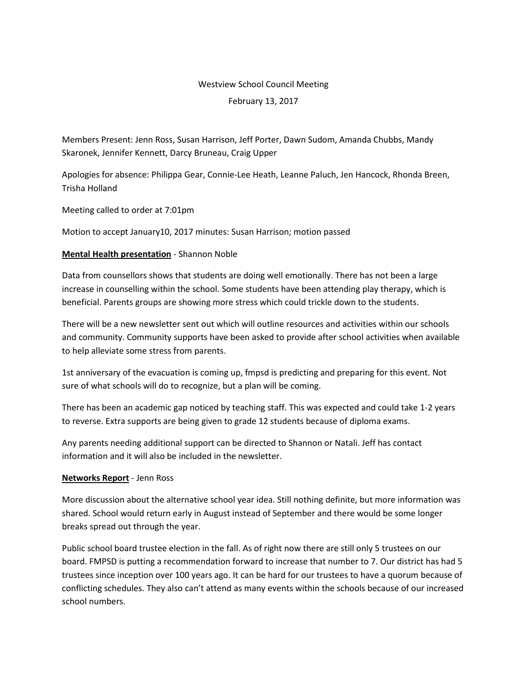# Westview School Council Meeting

February 13, 2017

Members Present: Jenn Ross, Susan Harrison, Jeff Porter, Dawn Sudom, Amanda Chubbs, Mandy Skaronek, Jennifer Kennett, Darcy Bruneau, Craig Upper

Apologies for absence: Philippa Gear, Connie-Lee Heath, Leanne Paluch, Jen Hancock, Rhonda Breen, Trisha Holland

Meeting called to order at 7:01pm

Motion to accept January10, 2017 minutes: Susan Harrison; motion passed

## **Mental Health presentation** - Shannon Noble

Data from counsellors shows that students are doing well emotionally. There has not been a large increase in counselling within the school. Some students have been attending play therapy, which is beneficial. Parents groups are showing more stress which could trickle down to the students.

There will be a new newsletter sent out which will outline resources and activities within our schools and community. Community supports have been asked to provide after school activities when available to help alleviate some stress from parents.

1st anniversary of the evacuation is coming up, fmpsd is predicting and preparing for this event. Not sure of what schools will do to recognize, but a plan will be coming.

There has been an academic gap noticed by teaching staff. This was expected and could take 1-2 years to reverse. Extra supports are being given to grade 12 students because of diploma exams.

Any parents needing additional support can be directed to Shannon or Natali. Jeff has contact information and it will also be included in the newsletter.

## **Networks Report** - Jenn Ross

More discussion about the alternative school year idea. Still nothing definite, but more information was shared. School would return early in August instead of September and there would be some longer breaks spread out through the year.

Public school board trustee election in the fall. As of right now there are still only 5 trustees on our board. FMPSD is putting a recommendation forward to increase that number to 7. Our district has had 5 trustees since inception over 100 years ago. It can be hard for our trustees to have a quorum because of conflicting schedules. They also can't attend as many events within the schools because of our increased school numbers.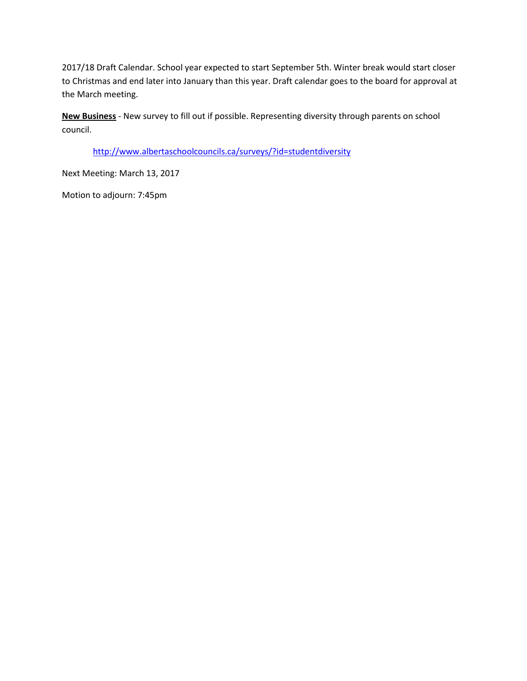2017/18 Draft Calendar. School year expected to start September 5th. Winter break would start closer to Christmas and end later into January than this year. Draft calendar goes to the board for approval at the March meeting.

**New Business** - New survey to fill out if possible. Representing diversity through parents on school council.

<http://www.albertaschoolcouncils.ca/surveys/?id=studentdiversity>

Next Meeting: March 13, 2017

Motion to adjourn: 7:45pm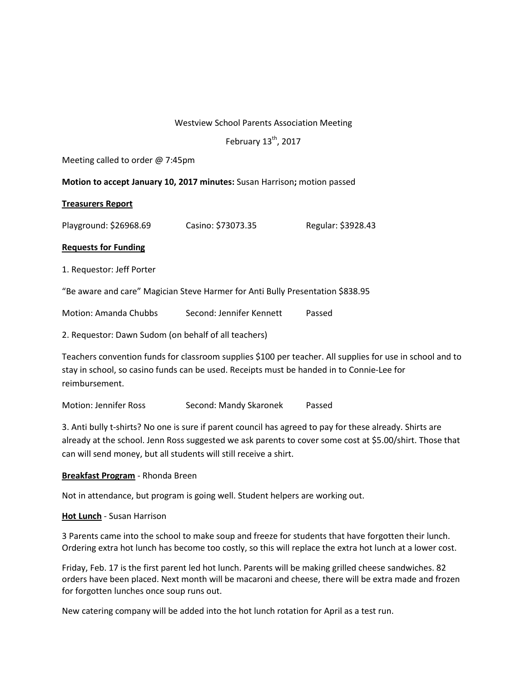## Westview School Parents Association Meeting

February 13<sup>th</sup>, 2017

Meeting called to order @ 7:45pm

**Motion to accept January 10, 2017 minutes:** Susan Harrison**;** motion passed

#### **Treasurers Report**

Playground: \$26968.69 Casino: \$73073.35 Regular: \$3928.43

#### **Requests for Funding**

1. Requestor: Jeff Porter

"Be aware and care" Magician Steve Harmer for Anti Bully Presentation \$838.95

Motion: Amanda Chubbs Second: Jennifer Kennett Passed

2. Requestor: Dawn Sudom (on behalf of all teachers)

Teachers convention funds for classroom supplies \$100 per teacher. All supplies for use in school and to stay in school, so casino funds can be used. Receipts must be handed in to Connie-Lee for reimbursement.

Motion: Jennifer Ross Second: Mandy Skaronek Passed

3. Anti bully t-shirts? No one is sure if parent council has agreed to pay for these already. Shirts are already at the school. Jenn Ross suggested we ask parents to cover some cost at \$5.00/shirt. Those that can will send money, but all students will still receive a shirt.

## **Breakfast Program** - Rhonda Breen

Not in attendance, but program is going well. Student helpers are working out.

#### **Hot Lunch** - Susan Harrison

3 Parents came into the school to make soup and freeze for students that have forgotten their lunch. Ordering extra hot lunch has become too costly, so this will replace the extra hot lunch at a lower cost.

Friday, Feb. 17 is the first parent led hot lunch. Parents will be making grilled cheese sandwiches. 82 orders have been placed. Next month will be macaroni and cheese, there will be extra made and frozen for forgotten lunches once soup runs out.

New catering company will be added into the hot lunch rotation for April as a test run.